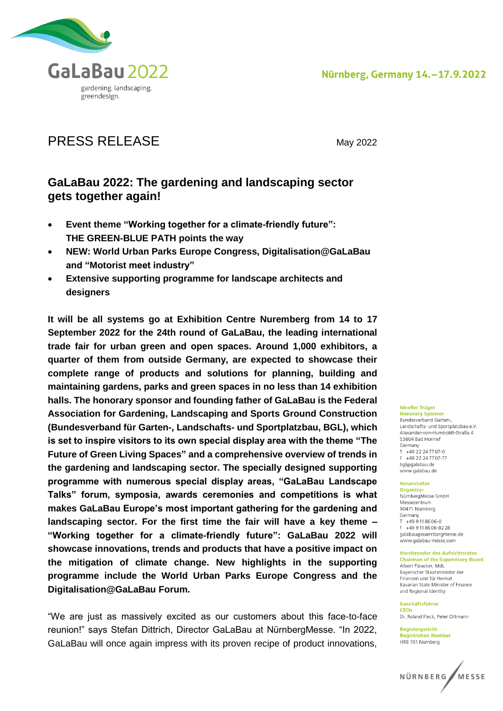

# PRESS RELEASE May 2022

## **GaLaBau 2022: The gardening and landscaping sector gets together again!**

- **Event theme "Working together for a climate-friendly future": THE GREEN-BLUE PATH points the way**
- **NEW: World Urban Parks Europe Congress, Digitalisation@GaLaBau and "Motorist meet industry"**
- **Extensive supporting programme for landscape architects and designers**

**It will be all systems go at Exhibition Centre Nuremberg from 14 to 17 September 2022 for the 24th round of GaLaBau, the leading international trade fair for urban green and open spaces. Around 1,000 exhibitors, a quarter of them from outside Germany, are expected to showcase their complete range of products and solutions for planning, building and maintaining gardens, parks and green spaces in no less than 14 exhibition halls. The honorary sponsor and founding father of GaLaBau is the Federal Association for Gardening, Landscaping and Sports Ground Construction (Bundesverband für Garten-, Landschafts- und Sportplatzbau, BGL), which is set to inspire visitors to its own special display area with the theme "The Future of Green Living Spaces" and a comprehensive overview of trends in the gardening and landscaping sector. The specially designed supporting programme with numerous special display areas, "GaLaBau Landscape Talks" forum, symposia, awards ceremonies and competitions is what makes GaLaBau Europe's most important gathering for the gardening and landscaping sector. For the first time the fair will have a key theme – "Working together for a climate-friendly future": GaLaBau 2022 will showcase innovations, trends and products that have a positive impact on the mitigation of climate change. New highlights in the supporting programme include the World Urban Parks Europe Congress and the Digitalisation@GaLaBau Forum.**

"We are just as massively excited as our customers about this face-to-face reunion!" says Stefan Dittrich, Director GaLaBau at NürnbergMesse. "In 2022, GaLaBau will once again impress with its proven recipe of product innovations,

#### **Ideeller Träger**

**Honorary Sponsor**<br>Bundesverband Garten-, Landschafts- und Sportplatzbau e.V. Alexander-von-Humholdt-Straße 4 53604 Bad Honnef Germany  $T + 49.22.24.7707 - 0$ +49 22 24 77 07-77 bgl@galabau.de www.galabau.de

#### Veranstalter **Organizer**

NürnbergMesse GmbH Messezentrum 90471 Nürnberg Germany  $+499118606-0$  $F = \pm 49.911.8606 - 82.28$ galabau@nuernbergmesse.de www.galabau-messe.com

#### **Vorsitzender des Aufsichtsrates**

**Chairman of the Supervisory Board** Albert Füracker, MdL Baverischer Staatsminister der Finanzen und für Heimat Bavarian State Minister of Finance and Regional Identity

Geschäftsführer CEOS Dr. Roland Fleck, Peter Ottmann

Registergericht **Registration Number** HRB 761 Nürnberg

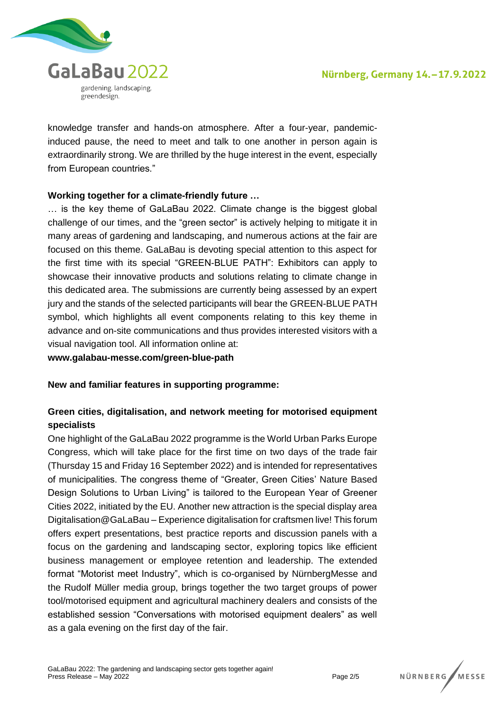

knowledge transfer and hands-on atmosphere. After a four-year, pandemicinduced pause, the need to meet and talk to one another in person again is extraordinarily strong. We are thrilled by the huge interest in the event, especially from European countries."

### **Working together for a climate-friendly future …**

… is the key theme of GaLaBau 2022. Climate change is the biggest global challenge of our times, and the "green sector" is actively helping to mitigate it in many areas of gardening and landscaping, and numerous actions at the fair are focused on this theme. GaLaBau is devoting special attention to this aspect for the first time with its special "GREEN-BLUE PATH": Exhibitors can apply to showcase their innovative products and solutions relating to climate change in this dedicated area. The submissions are currently being assessed by an expert jury and the stands of the selected participants will bear the GREEN-BLUE PATH symbol, which highlights all event components relating to this key theme in advance and on-site communications and thus provides interested visitors with a visual navigation tool. All information online at:

**www.galabau-messe.com/green-blue-path**

**New and familiar features in supporting programme:**

## **Green cities, digitalisation, and network meeting for motorised equipment specialists**

One highlight of the GaLaBau 2022 programme is the World Urban Parks Europe Congress, which will take place for the first time on two days of the trade fair (Thursday 15 and Friday 16 September 2022) and is intended for representatives of municipalities. The congress theme of "Greater, Green Cities' Nature Based Design Solutions to Urban Living" is tailored to the European Year of Greener Cities 2022, initiated by the EU. Another new attraction is the special display area Digitalisation@GaLaBau – Experience digitalisation for craftsmen live! This forum offers expert presentations, best practice reports and discussion panels with a focus on the gardening and landscaping sector, exploring topics like efficient business management or employee retention and leadership. The extended format "Motorist meet Industry", which is co-organised by NürnbergMesse and the Rudolf Müller media group, brings together the two target groups of power tool/motorised equipment and agricultural machinery dealers and consists of the established session "Conversations with motorised equipment dealers" as well as a gala evening on the first day of the fair.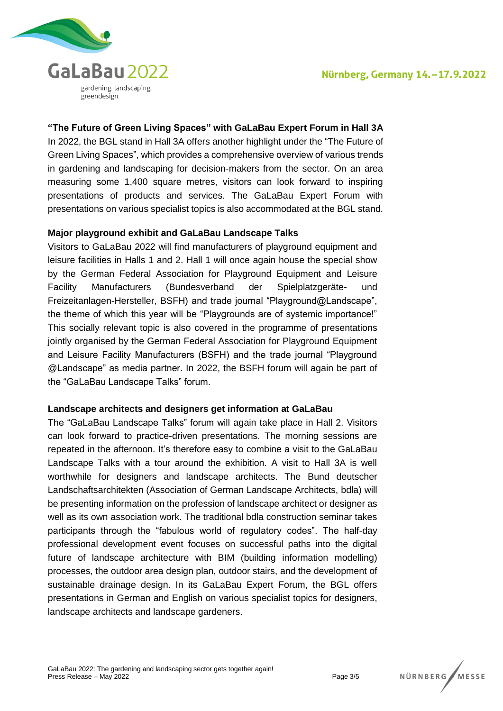

## **"The Future of Green Living Spaces" with GaLaBau Expert Forum in Hall 3A**

In 2022, the BGL stand in Hall 3A offers another highlight under the "The Future of Green Living Spaces", which provides a comprehensive overview of various trends in gardening and landscaping for decision-makers from the sector. On an area measuring some 1,400 square metres, visitors can look forward to inspiring presentations of products and services. The GaLaBau Expert Forum with presentations on various specialist topics is also accommodated at the BGL stand.

#### **Major playground exhibit and GaLaBau Landscape Talks**

Visitors to GaLaBau 2022 will find manufacturers of playground equipment and leisure facilities in Halls 1 and 2. Hall 1 will once again house the special show by the German Federal Association for Playground Equipment and Leisure Facility Manufacturers (Bundesverband der Spielplatzgeräte- und Freizeitanlagen-Hersteller, BSFH) and trade journal "Playground@Landscape", the theme of which this year will be "Playgrounds are of systemic importance!" This socially relevant topic is also covered in the programme of presentations jointly organised by the German Federal Association for Playground Equipment and Leisure Facility Manufacturers (BSFH) and the trade journal "Playground @Landscape" as media partner. In 2022, the BSFH forum will again be part of the "GaLaBau Landscape Talks" forum.

#### **Landscape architects and designers get information at GaLaBau**

The "GaLaBau Landscape Talks" forum will again take place in Hall 2. Visitors can look forward to practice-driven presentations. The morning sessions are repeated in the afternoon. It's therefore easy to combine a visit to the GaLaBau Landscape Talks with a tour around the exhibition. A visit to Hall 3A is well worthwhile for designers and landscape architects. The Bund deutscher Landschaftsarchitekten (Association of German Landscape Architects, bdla) will be presenting information on the profession of landscape architect or designer as well as its own association work. The traditional bdla construction seminar takes participants through the "fabulous world of regulatory codes". The half-day professional development event focuses on successful paths into the digital future of landscape architecture with BIM (building information modelling) processes, the outdoor area design plan, outdoor stairs, and the development of sustainable drainage design. In its GaLaBau Expert Forum, the BGL offers presentations in German and English on various specialist topics for designers, landscape architects and landscape gardeners.

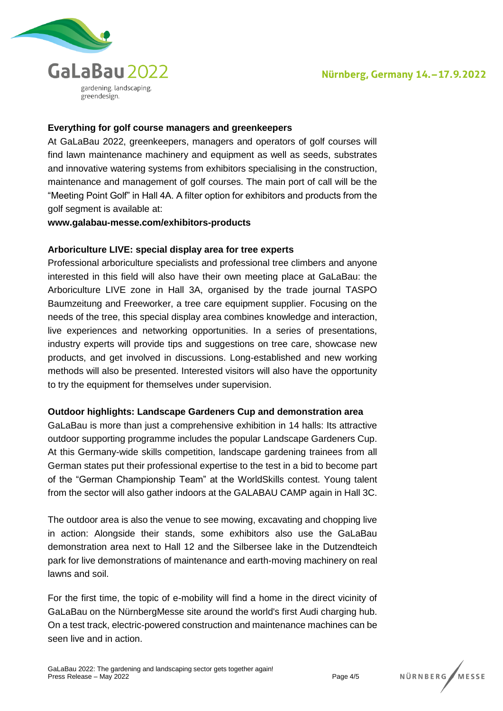

#### **Everything for golf course managers and greenkeepers**

At GaLaBau 2022, greenkeepers, managers and operators of golf courses will find lawn maintenance machinery and equipment as well as seeds, substrates and innovative watering systems from exhibitors specialising in the construction, maintenance and management of golf courses. The main port of call will be the "Meeting Point Golf" in Hall 4A. A filter option for exhibitors and products from the golf segment is available at:

#### **www.galabau-messe.com/exhibitors-products**

#### **Arboriculture LIVE: special display area for tree experts**

Professional arboriculture specialists and professional tree climbers and anyone interested in this field will also have their own meeting place at GaLaBau: the Arboriculture LIVE zone in Hall 3A, organised by the trade journal TASPO Baumzeitung and Freeworker, a tree care equipment supplier. Focusing on the needs of the tree, this special display area combines knowledge and interaction, live experiences and networking opportunities. In a series of presentations, industry experts will provide tips and suggestions on tree care, showcase new products, and get involved in discussions. Long-established and new working methods will also be presented. Interested visitors will also have the opportunity to try the equipment for themselves under supervision.

#### **Outdoor highlights: Landscape Gardeners Cup and demonstration area**

GaLaBau is more than just a comprehensive exhibition in 14 halls: Its attractive outdoor supporting programme includes the popular Landscape Gardeners Cup. At this Germany-wide skills competition, landscape gardening trainees from all German states put their professional expertise to the test in a bid to become part of the "German Championship Team" at the WorldSkills contest. Young talent from the sector will also gather indoors at the GALABAU CAMP again in Hall 3C.

The outdoor area is also the venue to see mowing, excavating and chopping live in action: Alongside their stands, some exhibitors also use the GaLaBau demonstration area next to Hall 12 and the Silbersee lake in the Dutzendteich park for live demonstrations of maintenance and earth-moving machinery on real lawns and soil.

For the first time, the topic of e-mobility will find a home in the direct vicinity of GaLaBau on the NürnbergMesse site around the world's first Audi charging hub. On a test track, electric-powered construction and maintenance machines can be seen live and in action.